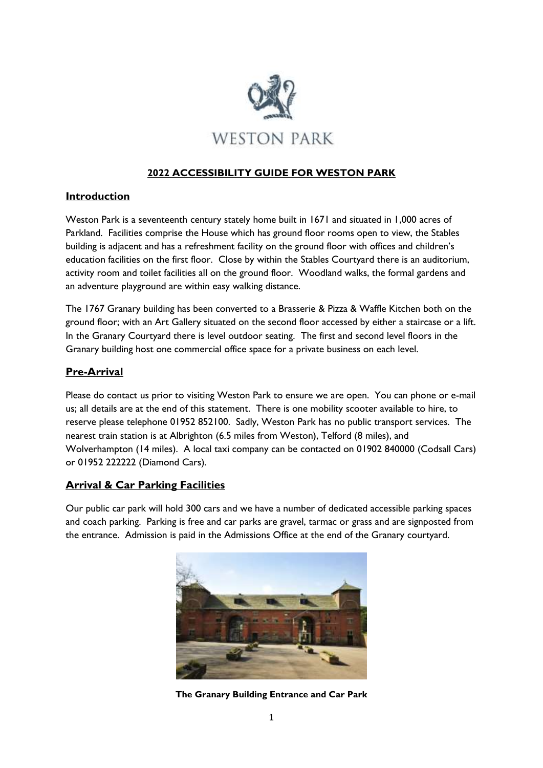

# **2022 ACCESSIBILITY GUIDE FOR WESTON PARK**

### **Introduction**

Weston Park is a seventeenth century stately home built in 1671 and situated in 1,000 acres of Parkland. Facilities comprise the House which has ground floor rooms open to view, the Stables building is adjacent and has a refreshment facility on the ground floor with offices and children's education facilities on the first floor. Close by within the Stables Courtyard there is an auditorium, activity room and toilet facilities all on the ground floor. Woodland walks, the formal gardens and an adventure playground are within easy walking distance.

The 1767 Granary building has been converted to a Brasserie & Pizza & Waffle Kitchen both on the ground floor; with an Art Gallery situated on the second floor accessed by either a staircase or a lift. In the Granary Courtyard there is level outdoor seating. The first and second level floors in the Granary building host one commercial office space for a private business on each level.

# **Pre-Arrival**

Please do contact us prior to visiting Weston Park to ensure we are open. You can phone or e-mail us; all details are at the end of this statement. There is one mobility scooter available to hire, to reserve please telephone 01952 852100. Sadly, Weston Park has no public transport services. The nearest train station is at Albrighton (6.5 miles from Weston), Telford (8 miles), and Wolverhampton (14 miles). A local taxi company can be contacted on 01902 840000 (Codsall Cars) or 01952 222222 (Diamond Cars).

# **Arrival & Car Parking Facilities**

Our public car park will hold 300 cars and we have a number of dedicated accessible parking spaces and coach parking. Parking is free and car parks are gravel, tarmac or grass and are signposted from the entrance. Admission is paid in the Admissions Office at the end of the Granary courtyard.



**The Granary Building Entrance and Car Park**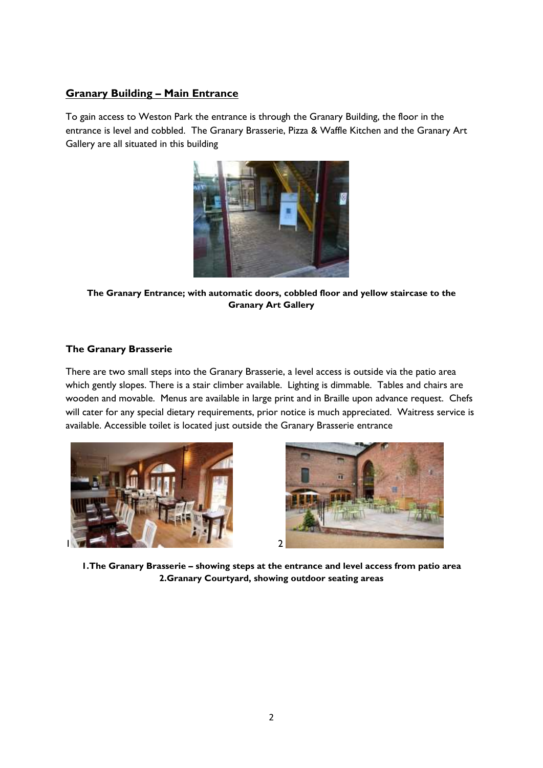# **Granary Building – Main Entrance**

To gain access to Weston Park the entrance is through the Granary Building, the floor in the entrance is level and cobbled. The Granary Brasserie, Pizza & Waffle Kitchen and the Granary Art Gallery are all situated in this building



**The Granary Entrance; with automatic doors, cobbled floor and yellow staircase to the Granary Art Gallery**

### **The Granary Brasserie**

There are two small steps into the Granary Brasserie, a level access is outside via the patio area which gently slopes. There is a stair climber available. Lighting is dimmable. Tables and chairs are wooden and movable. Menus are available in large print and in Braille upon advance request. Chefs will cater for any special dietary requirements, prior notice is much appreciated. Waitress service is available. Accessible toilet is located just outside the Granary Brasserie entrance





**1.The Granary Brasserie – showing steps at the entrance and level access from patio area 2.Granary Courtyard, showing outdoor seating areas**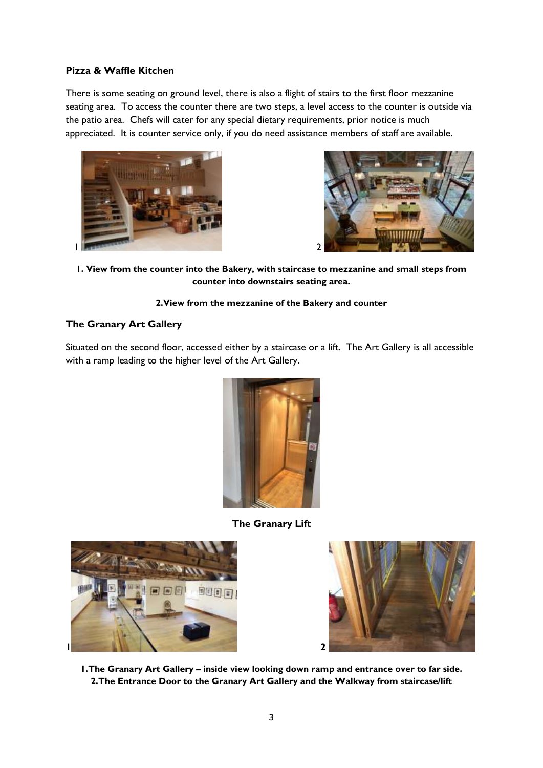#### **Pizza & Waffle Kitchen**

There is some seating on ground level, there is also a flight of stairs to the first floor mezzanine seating area. To access the counter there are two steps, a level access to the counter is outside via the patio area. Chefs will cater for any special dietary requirements, prior notice is much appreciated. It is counter service only, if you do need assistance members of staff are available.





**1. View from the counter into the Bakery, with staircase to mezzanine and small steps from counter into downstairs seating area.**

#### **2.View from the mezzanine of the Bakery and counter**

#### **The Granary Art Gallery**

Situated on the second floor, accessed either by a staircase or a lift. The Art Gallery is all accessible with a ramp leading to the higher level of the Art Gallery.



**The Granary Lift**





**1.The Granary Art Gallery – inside view looking down ramp and entrance over to far side. 2.The Entrance Door to the Granary Art Gallery and the Walkway from staircase/lift**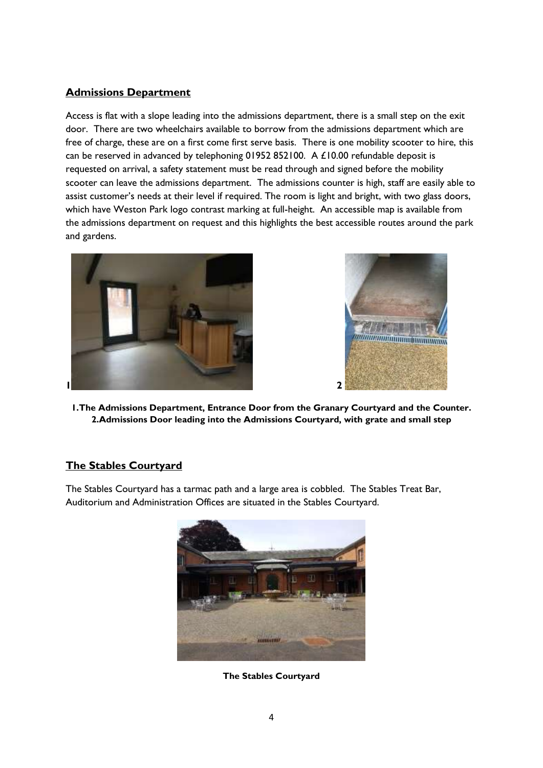# **Admissions Department**

Access is flat with a slope leading into the admissions department, there is a small step on the exit door. There are two wheelchairs available to borrow from the admissions department which are free of charge, these are on a first come first serve basis. There is one mobility scooter to hire, this can be reserved in advanced by telephoning 01952 852100. A £10.00 refundable deposit is requested on arrival, a safety statement must be read through and signed before the mobility scooter can leave the admissions department. The admissions counter is high, staff are easily able to assist customer's needs at their level if required. The room is light and bright, with two glass doors, which have Weston Park logo contrast marking at full-height. An accessible map is available from the admissions department on request and this highlights the best accessible routes around the park and gardens.





**1.The Admissions Department, Entrance Door from the Granary Courtyard and the Counter. 2.Admissions Door leading into the Admissions Courtyard, with grate and small step**

# **The Stables Courtyard**

The Stables Courtyard has a tarmac path and a large area is cobbled. The Stables Treat Bar, Auditorium and Administration Offices are situated in the Stables Courtyard.



**The Stables Courtyard**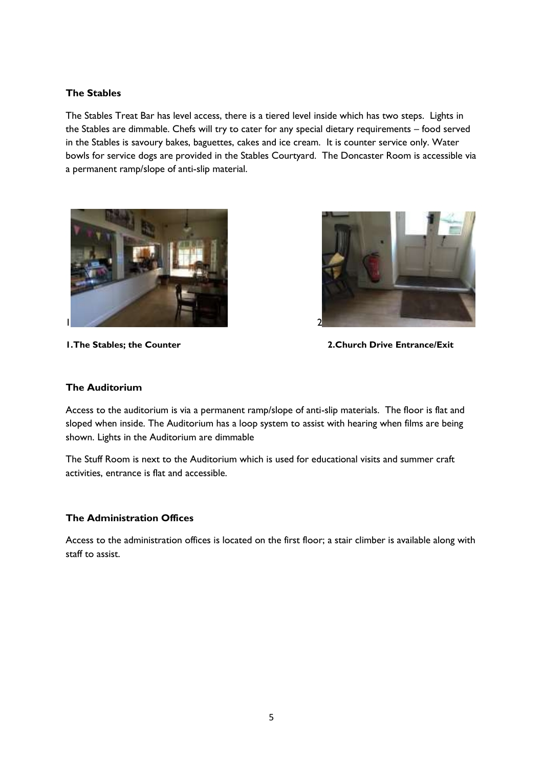#### **The Stables**

The Stables Treat Bar has level access, there is a tiered level inside which has two steps. Lights in the Stables are dimmable. Chefs will try to cater for any special dietary requirements – food served in the Stables is savoury bakes, baguettes, cakes and ice cream. It is counter service only. Water bowls for service dogs are provided in the Stables Courtyard. The Doncaster Room is accessible via a permanent ramp/slope of anti-slip material.





**1.The Stables; the Counter 2.Church Drive Entrance/Exit**

#### **The Auditorium**

Access to the auditorium is via a permanent ramp/slope of anti-slip materials. The floor is flat and sloped when inside. The Auditorium has a loop system to assist with hearing when films are being shown. Lights in the Auditorium are dimmable

The Stuff Room is next to the Auditorium which is used for educational visits and summer craft activities, entrance is flat and accessible.

#### **The Administration Offices**

Access to the administration offices is located on the first floor; a stair climber is available along with staff to assist.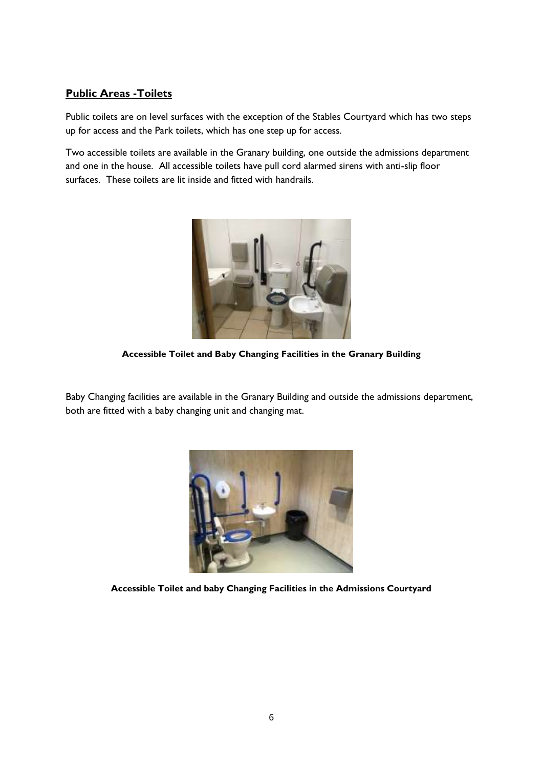# **Public Areas -Toilets**

Public toilets are on level surfaces with the exception of the Stables Courtyard which has two steps up for access and the Park toilets, which has one step up for access.

Two accessible toilets are available in the Granary building, one outside the admissions department and one in the house. All accessible toilets have pull cord alarmed sirens with anti-slip floor surfaces. These toilets are lit inside and fitted with handrails.



**Accessible Toilet and Baby Changing Facilities in the Granary Building**

Baby Changing facilities are available in the Granary Building and outside the admissions department, both are fitted with a baby changing unit and changing mat.



**Accessible Toilet and baby Changing Facilities in the Admissions Courtyard**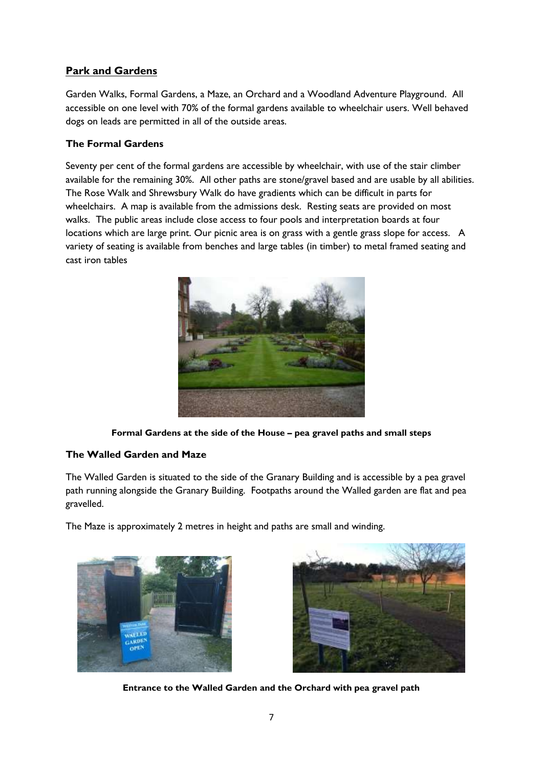# **Park and Gardens**

Garden Walks, Formal Gardens, a Maze, an Orchard and a Woodland Adventure Playground. All accessible on one level with 70% of the formal gardens available to wheelchair users. Well behaved dogs on leads are permitted in all of the outside areas.

### **The Formal Gardens**

Seventy per cent of the formal gardens are accessible by wheelchair, with use of the stair climber available for the remaining 30%. All other paths are stone/gravel based and are usable by all abilities. The Rose Walk and Shrewsbury Walk do have gradients which can be difficult in parts for wheelchairs. A map is available from the admissions desk. Resting seats are provided on most walks. The public areas include close access to four pools and interpretation boards at four locations which are large print. Our picnic area is on grass with a gentle grass slope for access. A variety of seating is available from benches and large tables (in timber) to metal framed seating and cast iron tables



**Formal Gardens at the side of the House – pea gravel paths and small steps**

# **The Walled Garden and Maze**

The Walled Garden is situated to the side of the Granary Building and is accessible by a pea gravel path running alongside the Granary Building. Footpaths around the Walled garden are flat and pea gravelled.

The Maze is approximately 2 metres in height and paths are small and winding.





**Entrance to the Walled Garden and the Orchard with pea gravel path**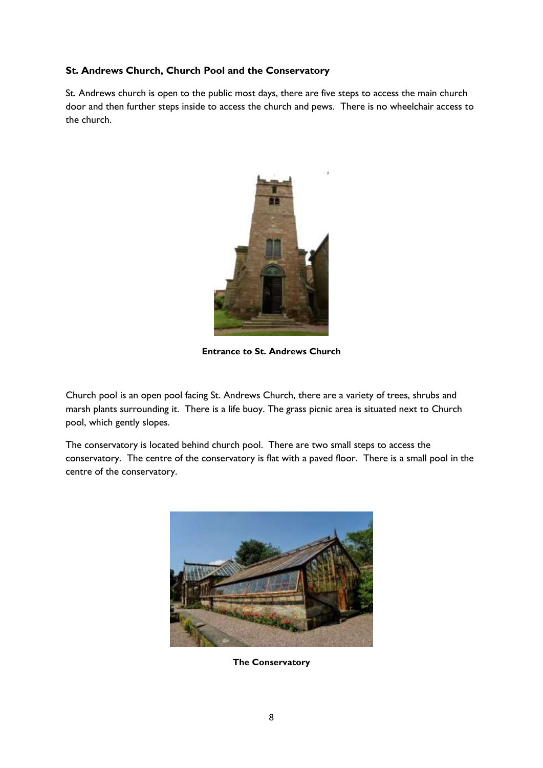### **St. Andrews Church, Church Pool and the Conservatory**

St. Andrews church is open to the public most days, there are five steps to access the main church door and then further steps inside to access the church and pews. There is no wheelchair access to the church.



**Entrance to St. Andrews Church**

Church pool is an open pool facing St. Andrews Church, there are a variety of trees, shrubs and marsh plants surrounding it. There is a life buoy. The grass picnic area is situated next to Church pool, which gently slopes.

The conservatory is located behind church pool. There are two small steps to access the conservatory. The centre of the conservatory is flat with a paved floor. There is a small pool in the centre of the conservatory.



**The Conservatory**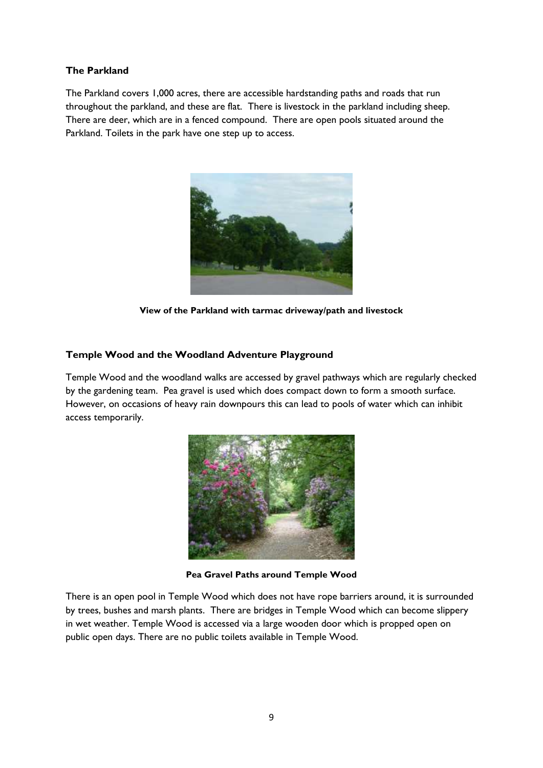#### **The Parkland**

The Parkland covers 1,000 acres, there are accessible hardstanding paths and roads that run throughout the parkland, and these are flat. There is livestock in the parkland including sheep. There are deer, which are in a fenced compound. There are open pools situated around the Parkland. Toilets in the park have one step up to access.



**View of the Parkland with tarmac driveway/path and livestock** 

#### **Temple Wood and the Woodland Adventure Playground**

Temple Wood and the woodland walks are accessed by gravel pathways which are regularly checked by the gardening team. Pea gravel is used which does compact down to form a smooth surface. However, on occasions of heavy rain downpours this can lead to pools of water which can inhibit access temporarily.



**Pea Gravel Paths around Temple Wood**

There is an open pool in Temple Wood which does not have rope barriers around, it is surrounded by trees, bushes and marsh plants. There are bridges in Temple Wood which can become slippery in wet weather. Temple Wood is accessed via a large wooden door which is propped open on public open days. There are no public toilets available in Temple Wood.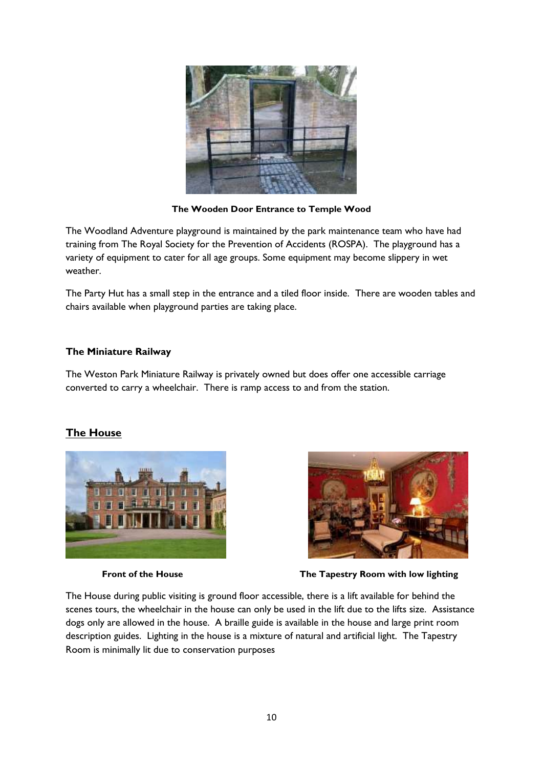

**The Wooden Door Entrance to Temple Wood**

The Woodland Adventure playground is maintained by the park maintenance team who have had training from The Royal Society for the Prevention of Accidents (ROSPA). The playground has a variety of equipment to cater for all age groups. Some equipment may become slippery in wet weather.

The Party Hut has a small step in the entrance and a tiled floor inside. There are wooden tables and chairs available when playground parties are taking place.

#### **The Miniature Railway**

The Weston Park Miniature Railway is privately owned but does offer one accessible carriage converted to carry a wheelchair. There is ramp access to and from the station.

# **The House**





**Front of the House The Tapestry Room with low lighting** 

The House during public visiting is ground floor accessible, there is a lift available for behind the scenes tours, the wheelchair in the house can only be used in the lift due to the lifts size. Assistance dogs only are allowed in the house. A braille guide is available in the house and large print room description guides. Lighting in the house is a mixture of natural and artificial light. The Tapestry Room is minimally lit due to conservation purposes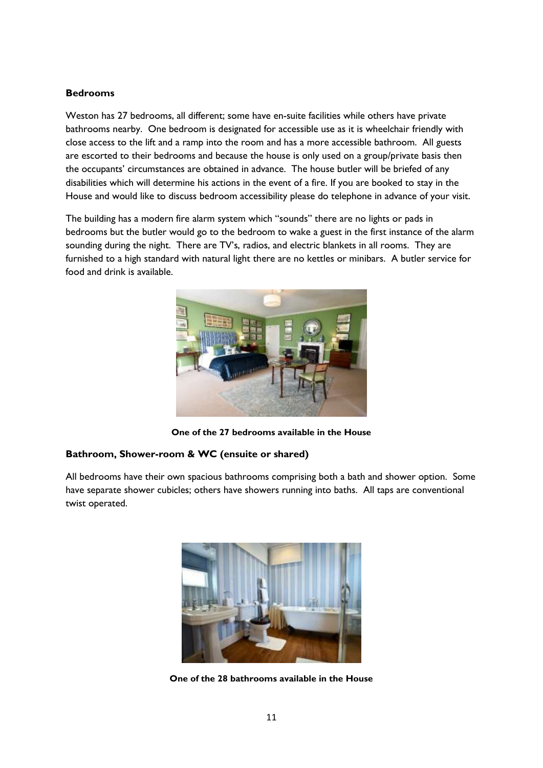#### **Bedrooms**

Weston has 27 bedrooms, all different; some have en-suite facilities while others have private bathrooms nearby. One bedroom is designated for accessible use as it is wheelchair friendly with close access to the lift and a ramp into the room and has a more accessible bathroom. All guests are escorted to their bedrooms and because the house is only used on a group/private basis then the occupants' circumstances are obtained in advance. The house butler will be briefed of any disabilities which will determine his actions in the event of a fire. If you are booked to stay in the House and would like to discuss bedroom accessibility please do telephone in advance of your visit.

The building has a modern fire alarm system which "sounds" there are no lights or pads in bedrooms but the butler would go to the bedroom to wake a guest in the first instance of the alarm sounding during the night. There are TV's, radios, and electric blankets in all rooms. They are furnished to a high standard with natural light there are no kettles or minibars. A butler service for food and drink is available.



**One of the 27 bedrooms available in the House**

#### **Bathroom, Shower-room & WC (ensuite or shared)**

All bedrooms have their own spacious bathrooms comprising both a bath and shower option. Some have separate shower cubicles; others have showers running into baths. All taps are conventional twist operated.



**One of the 28 bathrooms available in the House**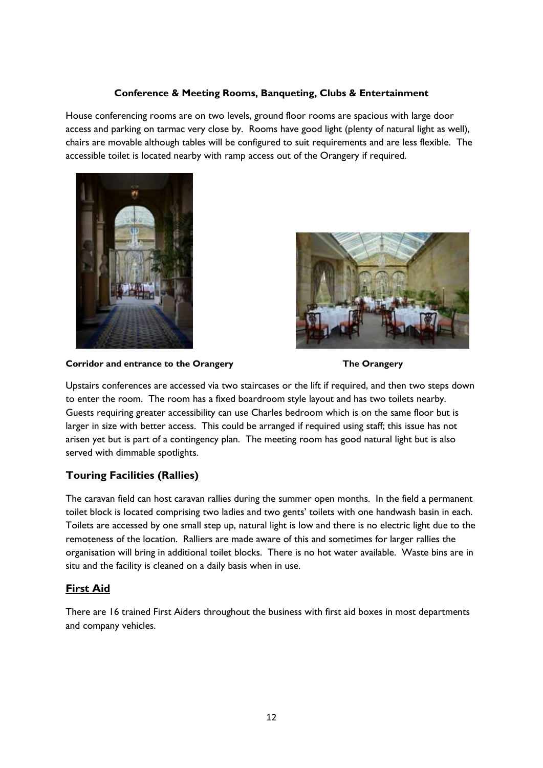#### **Conference & Meeting Rooms, Banqueting, Clubs & Entertainment**

House conferencing rooms are on two levels, ground floor rooms are spacious with large door access and parking on tarmac very close by. Rooms have good light (plenty of natural light as well), chairs are movable although tables will be configured to suit requirements and are less flexible. The accessible toilet is located nearby with ramp access out of the Orangery if required.





**Corridor and entrance to the Orangery The Orangery**



Upstairs conferences are accessed via two staircases or the lift if required, and then two steps down to enter the room. The room has a fixed boardroom style layout and has two toilets nearby. Guests requiring greater accessibility can use Charles bedroom which is on the same floor but is larger in size with better access. This could be arranged if required using staff; this issue has not arisen yet but is part of a contingency plan. The meeting room has good natural light but is also served with dimmable spotlights.

# **Touring Facilities (Rallies)**

The caravan field can host caravan rallies during the summer open months. In the field a permanent toilet block is located comprising two ladies and two gents' toilets with one handwash basin in each. Toilets are accessed by one small step up, natural light is low and there is no electric light due to the remoteness of the location. Ralliers are made aware of this and sometimes for larger rallies the organisation will bring in additional toilet blocks. There is no hot water available. Waste bins are in situ and the facility is cleaned on a daily basis when in use.

# **First Aid**

There are 16 trained First Aiders throughout the business with first aid boxes in most departments and company vehicles.